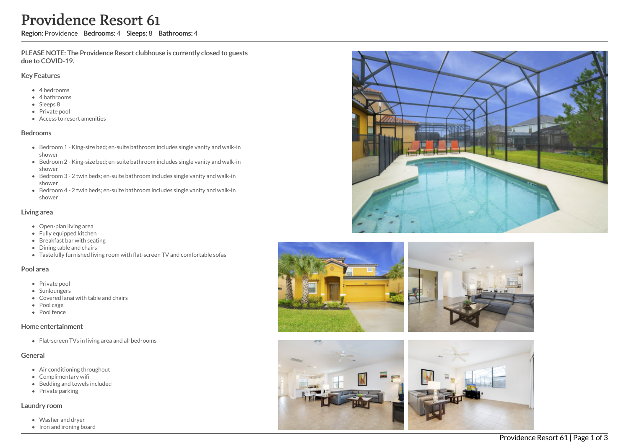# Providence Resort 61

Region: Providence Bedrooms: 4 Sleeps: 8 Bathrooms: 4

PLEASE NOTE: The Providence Resort clubhouse is currently closed to guests due to COVID-19.

#### Key Features

- 4 bedrooms
- 4 bathrooms
- Sleeps 8
- Private pool
- Access to resort amenities

### **Bedrooms**

- Bedroom 1 King-size bed; en-suite bathroom includes single vanity and walk-in s h o w e r
- Bedroom 2 King-size bed; en-suite bathroom includes single vanity and walk-in s h o w e r
- Bedroom 3 2 twin beds; en-suite bathroom includes single vanity and walk-in s h o w e r
- Bedroom 4 2 twin beds; en-suite bathroom includes single vanity and walk-in s h o w e r

## Living area

- Open-plan living area
- Fully equipped kitchen
- Breakfast bar with seating
- Dining table and chairs
- Tastefully furnished living room with flat-screen TV and comfortable sofas

#### Pool area

- Private pool
- Sunloungers
- Covered lanai with table and chairs
- Pool cage
- Pool fence

## Home entertainment

Flat-screen TVs in living area and all bedrooms

## General

- Air conditioning throughout
- Complimentary wifi
- Bedding and towels in clu d e d
- Private parking

#### Laundry room

- Washer and dryer
- Iron and ironing board





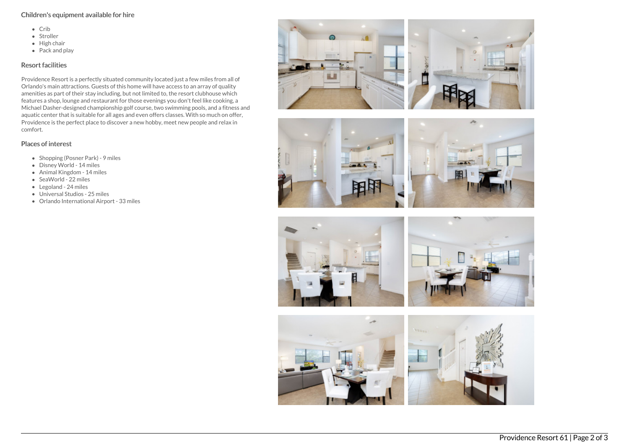# Children's equipment available for hire

- $\bullet$  Crib
- Stroller
- $\bullet$  High chair
- $\bullet$  Pack and play

# Resort facilities

Providence Resort is a perfectly situated community located just a few miles from all of Orlando's main attractions. Guests of this home will have access to an array of quality amenities as part of their stay including, but not limited to, the resort clubhouse which features a shop, lounge and restaurant for those evenings you don't feel like cooking, a Michael Dasher-designed championship golf course, two swimming pools, and a fitness and aquatic center that is suitable for all ages and even offers classes. With so much on offer, Providence is the perfect place to discover a new hobby, meet new people and relax in comfort.

# Places of interest

- Shopping (Posner Park) 9 miles
- Disney World 14 miles
- Animal Kingdom 14 miles
- SeaWorld 22 miles
- Legoland 24 miles
- Universal Studios 25 miles
- Orlando International Airport 33 miles